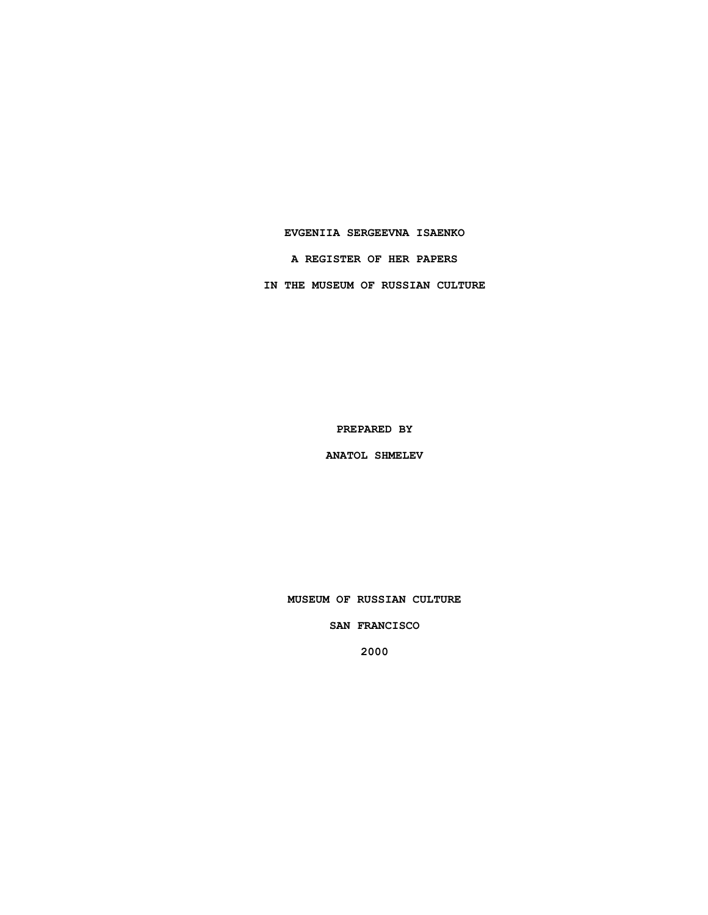### **EVGENIIA SERGEEVNA ISAENKO**

**A REGISTER OF HER PAPERS**

**IN THE MUSEUM OF RUSSIAN CULTURE**

**PREPARED BY**

**ANATOL SHMELEV**

**MUSEUM OF RUSSIAN CULTURE**

**SAN FRANCISCO**

**2000**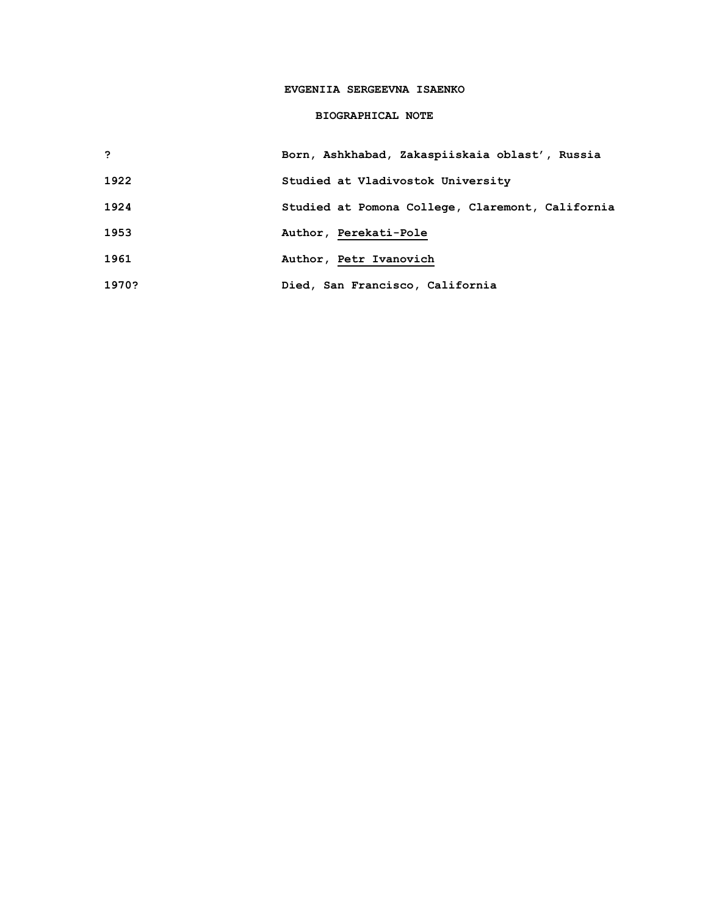# **EVGENIIA SERGEEVNA ISAENKO**

## **BIOGRAPHICAL NOTE**

| ,     | Born, Ashkhabad, Zakaspiiskaia oblast', Russia   |
|-------|--------------------------------------------------|
| 1922  | Studied at Vladivostok University                |
| 1924  | Studied at Pomona College, Claremont, California |
| 1953  | Author, Perekati-Pole                            |
| 1961  | Author, Petr Ivanovich                           |
| 1970? | Died, San Francisco, California                  |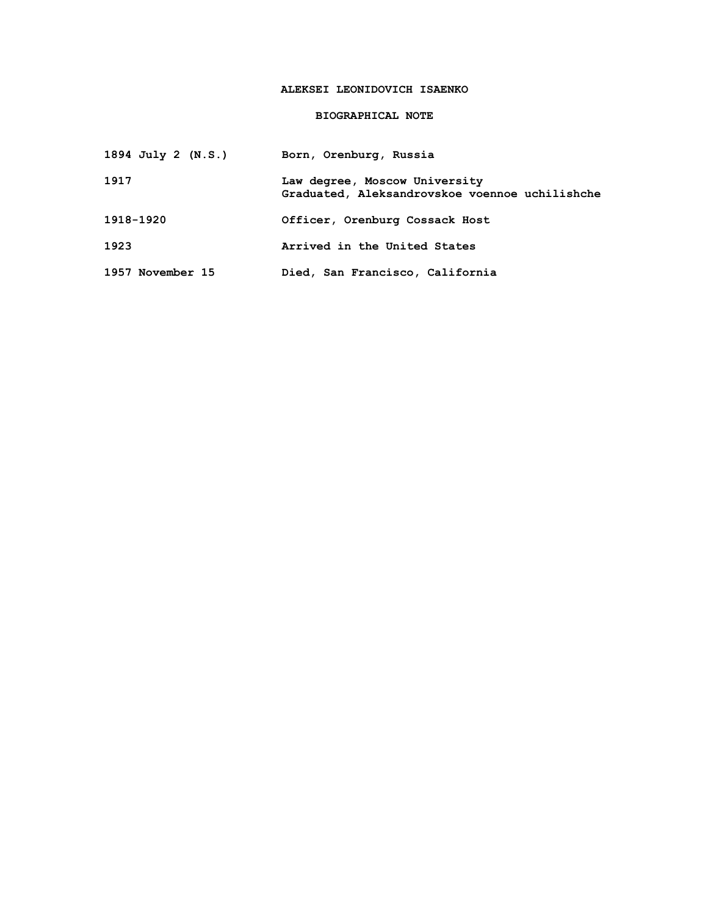# **ALEKSEI LEONIDOVICH ISAENKO**

## **BIOGRAPHICAL NOTE**

| 1894 July 2 (N.S.) | Born, Orenburg, Russia                                                          |
|--------------------|---------------------------------------------------------------------------------|
| 1917               | Law degree, Moscow University<br>Graduated, Aleksandrovskoe voennoe uchilishche |
| 1918-1920          | Officer, Orenburg Cossack Host                                                  |
| 1923               | Arrived in the United States                                                    |
| 1957 November 15   | Died, San Francisco, California                                                 |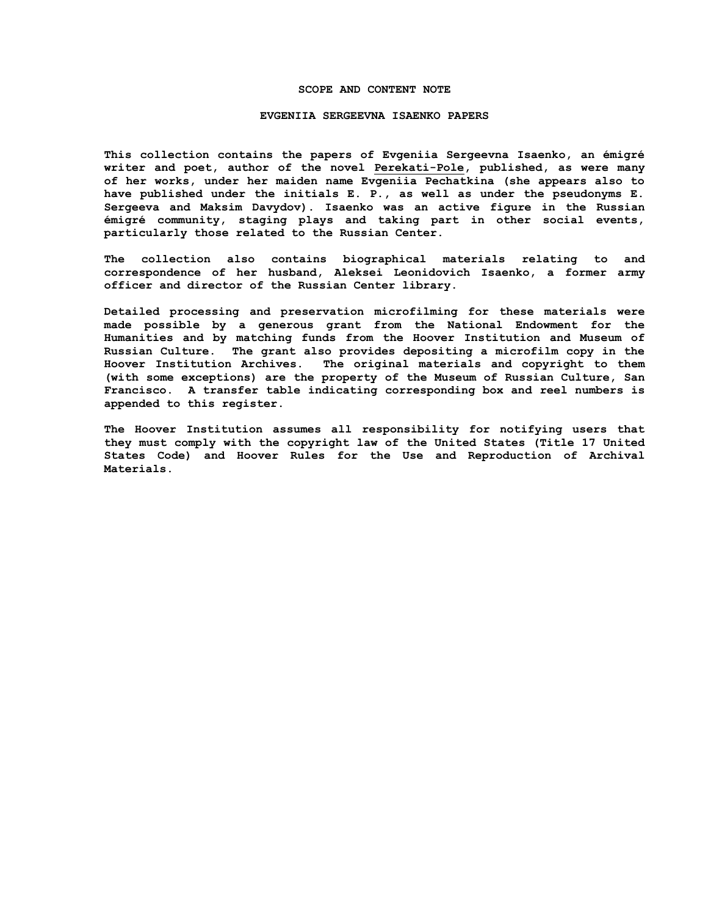#### **SCOPE AND CONTENT NOTE**

#### **EVGENIIA SERGEEVNA ISAENKO PAPERS**

**This collection contains the papers of Evgeniia Sergeevna Isaenko, an émigré writer and poet, author of the novel Perekati-Pole, published, as were many of her works, under her maiden name Evgeniia Pechatkina (she appears also to have published under the initials E. P., as well as under the pseudonyms E. Sergeeva and Maksim Davydov). Isaenko was an active figure in the Russian émigré community, staging plays and taking part in other social events, particularly those related to the Russian Center.**

**The collection also contains biographical materials relating to and correspondence of her husband, Aleksei Leonidovich Isaenko, a former army officer and director of the Russian Center library.**

**Detailed processing and preservation microfilming for these materials were made possible by a generous grant from the National Endowment for the Humanities and by matching funds from the Hoover Institution and Museum of Russian Culture. The grant also provides depositing a microfilm copy in the Hoover Institution Archives. The original materials and copyright to them (with some exceptions) are the property of the Museum of Russian Culture, San Francisco. A transfer table indicating corresponding box and reel numbers is appended to this register.**

**The Hoover Institution assumes all responsibility for notifying users that they must comply with the copyright law of the United States (Title 17 United States Code) and Hoover Rules for the Use and Reproduction of Archival Materials.**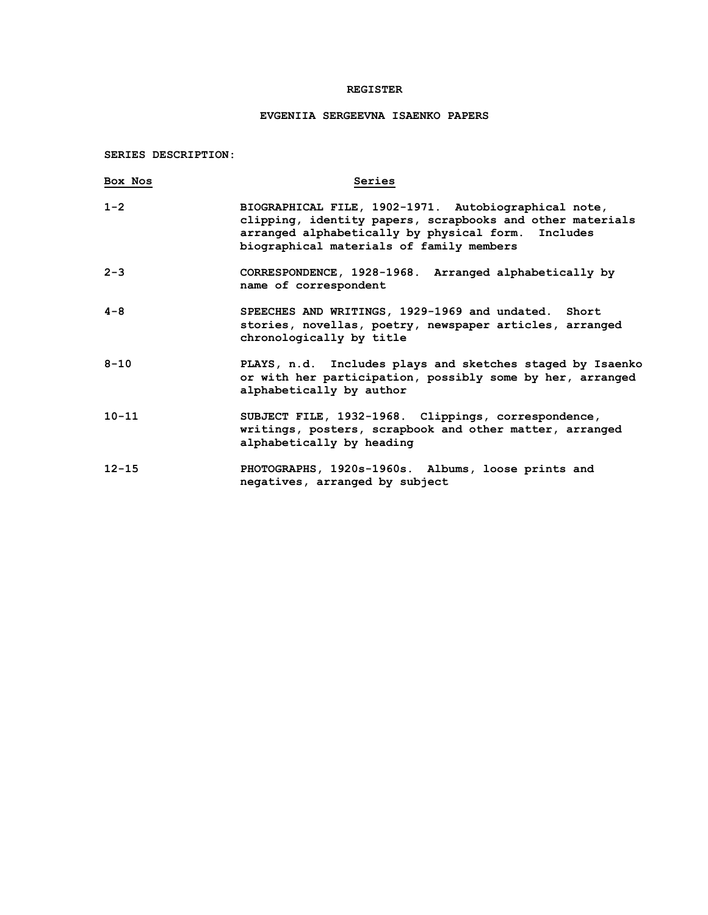## **REGISTER**

# **EVGENIIA SERGEEVNA ISAENKO PAPERS**

**SERIES DESCRIPTION:**

| Box Nos   | Series                                                                                                                                                                                                              |
|-----------|---------------------------------------------------------------------------------------------------------------------------------------------------------------------------------------------------------------------|
| $1 - 2$   | BIOGRAPHICAL FILE, 1902-1971. Autobiographical note,<br>clipping, identity papers, scrapbooks and other materials<br>arranged alphabetically by physical form. Includes<br>biographical materials of family members |
| $2 - 3$   | CORRESPONDENCE, 1928-1968. Arranged alphabetically by<br>name of correspondent                                                                                                                                      |
| $4 - 8$   | SPEECHES AND WRITINGS, 1929-1969 and undated. Short<br>stories, novellas, poetry, newspaper articles, arranged<br>chronologically by title                                                                          |
| $8 - 10$  | PLAYS, n.d. Includes plays and sketches staged by Isaenko<br>or with her participation, possibly some by her, arranged<br>alphabetically by author                                                                  |
| $10 - 11$ | SUBJECT FILE, 1932-1968. Clippings, correspondence,<br>writings, posters, scrapbook and other matter, arranged<br>alphabetically by heading                                                                         |
| $12 - 15$ | PHOTOGRAPHS, 1920s-1960s. Albums, loose prints and<br>negatives, arranged by subject                                                                                                                                |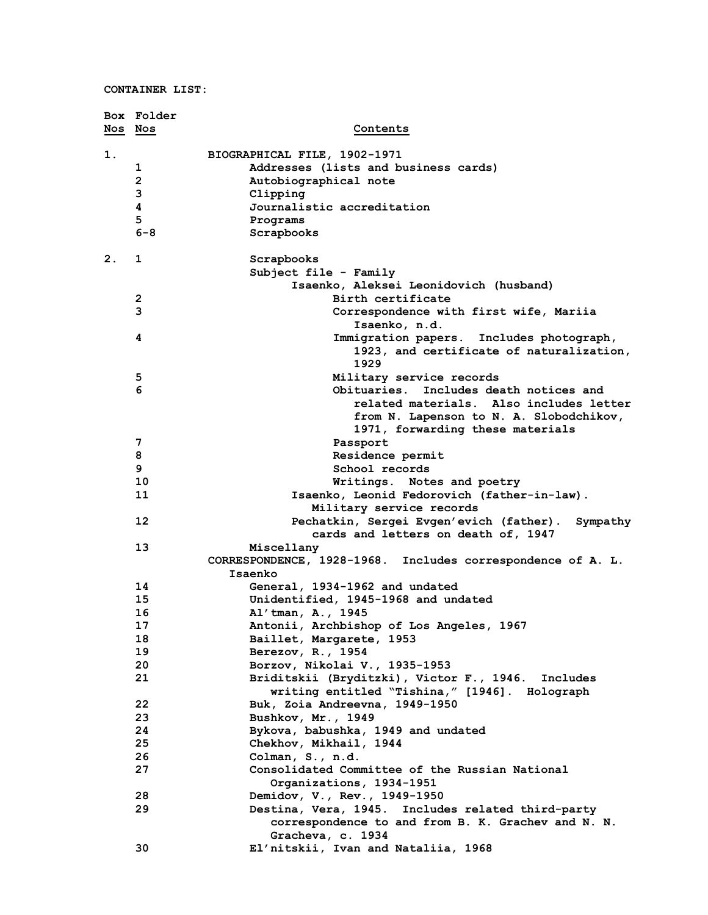**CONTAINER LIST:**

|         | Box Folder              |                                                                |
|---------|-------------------------|----------------------------------------------------------------|
| Nos Nos |                         | Contents                                                       |
|         |                         |                                                                |
| 1.      |                         | BIOGRAPHICAL FILE, 1902-1971                                   |
|         | 1                       | Addresses (lists and business cards)                           |
|         | $\overline{\mathbf{c}}$ | Autobiographical note                                          |
|         | 3                       | Clipping                                                       |
|         | 4                       | Journalistic accreditation                                     |
|         | 5                       | Programs                                                       |
|         | $6 - 8$                 | Scrapbooks                                                     |
| 2.      | 1                       |                                                                |
|         |                         | Scrapbooks<br>Subject file - Family                            |
|         |                         | Isaenko, Aleksei Leonidovich (husband)                         |
|         | $\mathbf{2}$            | Birth certificate                                              |
|         | 3                       |                                                                |
|         |                         | Correspondence with first wife, Mariia<br>Isaenko, n.d.        |
|         | 4                       | Immigration papers. Includes photograph,                       |
|         |                         | 1923, and certificate of naturalization,<br>1929               |
|         | 5                       | Military service records                                       |
|         | 6                       | Obituaries. Includes death notices and                         |
|         |                         | related materials. Also includes letter                        |
|         |                         | from N. Lapenson to N. A. Slobodchikov,                        |
|         |                         | 1971, forwarding these materials                               |
|         | 7                       | Passport                                                       |
|         | 8                       | Residence permit                                               |
|         | 9                       | School records                                                 |
|         | 10                      | Writings. Notes and poetry                                     |
|         | 11                      | Isaenko, Leonid Fedorovich (father-in-law).                    |
|         |                         | Military service records                                       |
|         | 12                      | Pechatkin, Sergei Evgen'evich (father).<br>Sympathy            |
|         |                         | cards and letters on death of, 1947                            |
|         | 13                      | Miscellany                                                     |
|         |                         | CORRESPONDENCE, 1928-1968.<br>Includes correspondence of A. L. |
|         |                         | Isaenko                                                        |
|         | 14                      | General, 1934-1962 and undated                                 |
|         | 15                      | Unidentified, 1945-1968 and undated                            |
|         | 16                      | Al'tman, A., 1945                                              |
|         | 17                      | Antonii, Archbishop of Los Angeles, 1967                       |
|         | 18                      | Baillet, Margarete, 1953                                       |
|         | 19                      | Berezov, R., 1954                                              |
|         | 20                      | Borzov, Nikolai V., 1935-1953                                  |
|         | 21                      | Briditskii (Bryditzki), Victor F., 1946. Includes              |
|         |                         | writing entitled "Tishina," [1946]. Holograph                  |
|         | 22                      | Buk, Zoia Andreevna, 1949-1950                                 |
|         | 23                      | Bushkov, Mr., 1949                                             |
|         | 24                      | Bykova, babushka, 1949 and undated                             |
|         | 25                      | Chekhov, Mikhail, 1944                                         |
|         | 26                      | Colman, S., n.d.                                               |
|         | 27                      | Consolidated Committee of the Russian National                 |
|         |                         | Organizations, 1934-1951                                       |
|         | 28                      | Demidov, V., Rev., 1949-1950                                   |
|         | 29                      | Destina, Vera, 1945. Includes related third-party              |
|         |                         | correspondence to and from B. K. Grachev and N. N.             |
|         | 30                      | Gracheva, c. 1934<br>El'nitskii, Ivan and Nataliia, 1968       |
|         |                         |                                                                |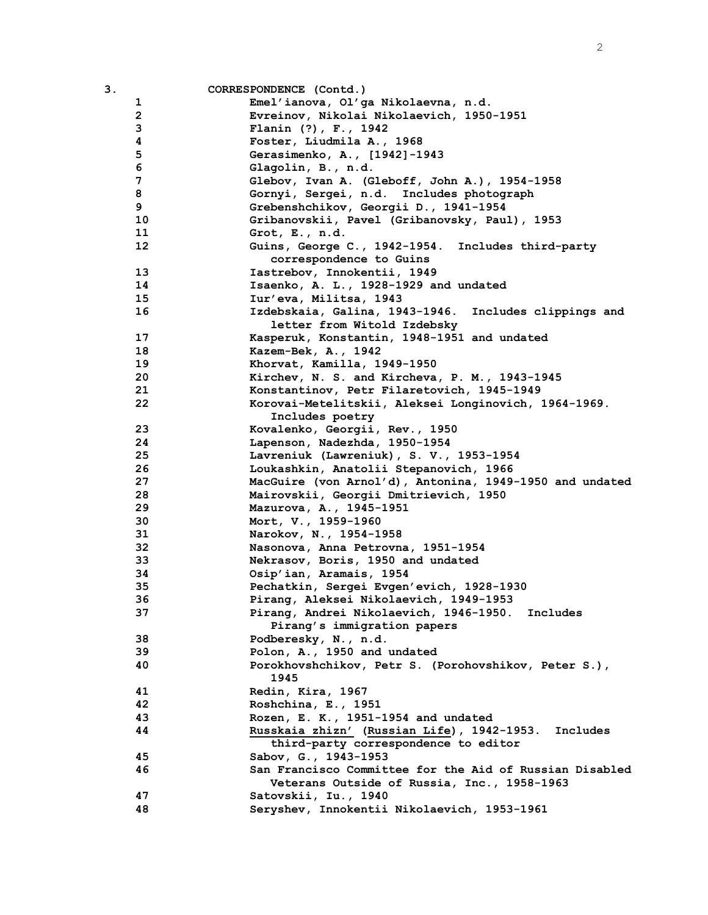| З. |              | CORRESPONDENCE (Contd.)                                  |
|----|--------------|----------------------------------------------------------|
|    | 1            | Emel'ianova, Ol'ga Nikolaevna, n.d.                      |
|    | $\mathbf{2}$ | Evreinov, Nikolai Nikolaevich, 1950-1951                 |
|    | 3            | Flanin (?), F., 1942                                     |
|    | 4            | Foster, Liudmila A., 1968                                |
|    | 5            | Gerasimenko, A., [1942]-1943                             |
|    | 6            | Glagolin, B., n.d.                                       |
|    | 7            | Glebov, Ivan A. (Gleboff, John A.), 1954-1958            |
|    | 8            | Gornyi, Sergei, n.d. Includes photograph                 |
|    | 9            | Grebenshchikov, Georgii D., 1941-1954                    |
|    | 10           | Gribanovskii, Pavel (Gribanovsky, Paul), 1953            |
|    | 11           | Grot, E., n.d.                                           |
|    | 12           | Guins, George C., 1942-1954. Includes third-party        |
|    |              | correspondence to Guins                                  |
|    | 13           | Iastrebov, Innokentii, 1949                              |
|    | 14           | Isaenko, A. L., 1928-1929 and undated                    |
|    | 15           | Iur'eva, Militsa, 1943                                   |
|    | 16           | Izdebskaia, Galina, 1943-1946.<br>Includes clippings and |
|    |              | letter from Witold Izdebsky                              |
|    | 17           | Kasperuk, Konstantin, 1948-1951 and undated              |
|    | 18           | Kazem-Bek, A., 1942                                      |
|    | 19           | Khorvat, Kamilla, 1949-1950                              |
|    | 20           | Kirchev, N. S. and Kircheva, P. M., 1943-1945            |
|    | 21           | Konstantinov, Petr Filaretovich, 1945-1949               |
|    | 22           | Korovai-Metelitskii, Aleksei Longinovich, 1964-1969.     |
|    |              | Includes poetry                                          |
|    | 23           | Kovalenko, Georgii, Rev., 1950                           |
|    | 24           | Lapenson, Nadezhda, 1950-1954                            |
|    | 25           | Lavreniuk (Lawreniuk), S. V., 1953-1954                  |
|    | 26           | Loukashkin, Anatolii Stepanovich, 1966                   |
|    | 27           | MacGuire (von Arnol'd), Antonina, 1949-1950 and undated  |
|    | 28           | Mairovskii, Georgii Dmitrievich, 1950                    |
|    | 29           | Mazurova, A., 1945-1951                                  |
|    | 30           | Mort, V., 1959-1960                                      |
|    | 31           | Narokov, N., 1954-1958                                   |
|    | 32           | Nasonova, Anna Petrovna, 1951-1954                       |
|    | 33           | Nekrasov, Boris, 1950 and undated                        |
|    | 34           | Osip'ian, Aramais, 1954                                  |
|    | 35           | Pechatkin, Sergei Evgen'evich, 1928-1930                 |
|    | 36           | Pirang, Aleksei Nikolaevich, 1949-1953                   |
|    | 37           | Pirang, Andrei Nikolaevich, 1946-1950. Includes          |
|    |              | Pirang's immigration papers                              |
|    | 38           | Podberesky, N., n.d.                                     |
|    | 39           | Polon, A., 1950 and undated                              |
|    | 40           | Porokhovshchikov, Petr S. (Porohovshikov, Peter S.),     |
|    |              | 1945                                                     |
|    | 41           | Redin, Kira, 1967                                        |
|    | 42           | Roshchina, E., 1951                                      |
|    | 43           | Rozen, E. K., 1951-1954 and undated                      |
|    | 44           | Russkaia zhizn' (Russian Life), 1942-1953. Includes      |
|    |              | third-party correspondence to editor                     |
|    | 45           | Sabov, G., 1943-1953                                     |
|    | 46           | San Francisco Committee for the Aid of Russian Disabled  |
|    |              | Veterans Outside of Russia, Inc., 1958-1963              |
|    | 47           | Satovskii, Iu., 1940                                     |
|    | 48           | Seryshev, Innokentii Nikolaevich, 1953-1961              |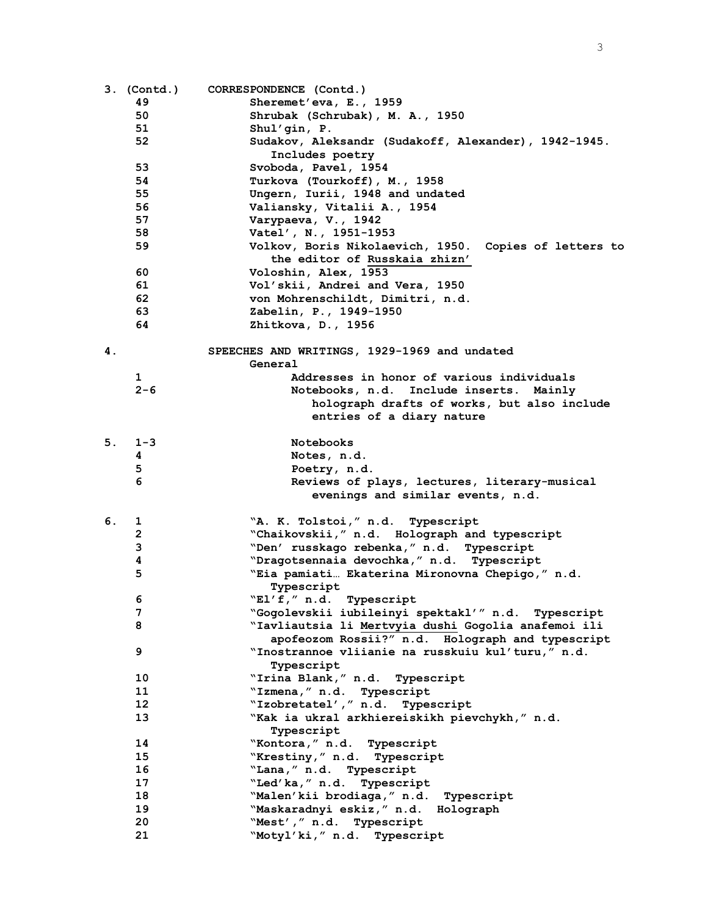|    | 3. (Contd.)     | CORRESPONDENCE (Contd.)                                                                |
|----|-----------------|----------------------------------------------------------------------------------------|
|    | 49              | Sheremet'eva, E., 1959                                                                 |
|    | 50              | Shrubak (Schrubak), M. A., 1950                                                        |
|    | 51              | Shul'gin, P.                                                                           |
|    | 52              | Sudakov, Aleksandr (Sudakoff, Alexander), 1942-1945.                                   |
|    |                 | Includes poetry                                                                        |
|    | 53              | Svoboda, Pavel, 1954                                                                   |
|    | 54              | Turkova (Tourkoff), M., 1958                                                           |
|    | 55              | Ungern, Iurii, 1948 and undated                                                        |
|    | 56              | Valiansky, Vitalii A., 1954                                                            |
|    | 57              | Varypaeva, V., 1942                                                                    |
|    | 58              | Vatel', N., 1951-1953                                                                  |
|    | 59              | Volkov, Boris Nikolaevich, 1950. Copies of letters to<br>the editor of Russkaia zhizn' |
|    | 60              | Voloshin, Alex, 1953                                                                   |
|    | 61              | Vol'skii, Andrei and Vera, 1950                                                        |
|    | 62              | von Mohrenschildt, Dimitri, n.d.                                                       |
|    | 63              | Zabelin, P., 1949-1950                                                                 |
|    | 64              | Zhitkova, D., 1956                                                                     |
| 4. |                 | SPEECHES AND WRITINGS, 1929-1969 and undated                                           |
|    |                 | General                                                                                |
|    | 1               | Addresses in honor of various individuals                                              |
|    | $2 - 6$         | Notebooks, n.d. Include inserts. Mainly                                                |
|    |                 | holograph drafts of works, but also include                                            |
|    |                 | entries of a diary nature                                                              |
|    |                 |                                                                                        |
| 5. | $1 - 3$         | <b>Notebooks</b>                                                                       |
|    | 4               | Notes, n.d.                                                                            |
|    | 5               | Poetry, n.d.                                                                           |
|    | 6               | Reviews of plays, lectures, literary-musical                                           |
|    |                 | evenings and similar events, n.d.                                                      |
| 6. | ı               | "A. K. Tolstoi," n.d. Typescript                                                       |
|    | $\overline{2}$  | "Chaikovskii," n.d. Holograph and typescript                                           |
|    | 3               | "Den' russkago rebenka, " n.d. Typescript                                              |
|    | 4               | "Dragotsennaia devochka, " n.d. Typescript                                             |
|    | 5               | "Eia pamiati Ekaterina Mironovna Chepigo," n.d.                                        |
|    |                 | Typescript                                                                             |
|    | 6               | WLI' f,'' n.d.<br>Typescript                                                           |
|    | 7               | "Gogolevskii iubileinyi spektakl'" n.d. Typescript                                     |
|    | 8               | "Iavliautsia li Mertvyia dushi Gogolia anafemoi ili                                    |
|    |                 | apofeozom Rossii?" n.d. Holograph and typescript                                       |
|    | 9               | "Inostrannoe vliianie na russkuiu kul'turu," n.d.                                      |
|    |                 | Typescript                                                                             |
|    | 10              | "Irina Blank, " n.d. Typescript                                                        |
|    | 11              | "Izmena, " n.d. Typescript                                                             |
|    | 12 <sup>2</sup> | "Izobretatel'," n.d. Typescript                                                        |
|    | 13              | "Kak ia ukral arkhiereiskikh pievchykh," n.d.                                          |
|    |                 | Typescript                                                                             |
|    | 14              | "Kontora, " n.d. Typescript                                                            |
|    | 15              | "Krestiny," n.d.<br>Typescript                                                         |
|    | 16              | "Lana," n.d. Typescript                                                                |
|    | 17              | "Led'ka," n.d.<br>Typescript                                                           |
|    | 18              | "Malen'kii brodiaga, " n.d. Typescript                                                 |
|    | 19              | "Maskaradnyi eskiz," n.d. Holograph                                                    |
|    | 20              | "Mest'," n.d.<br>Typescript                                                            |
|    | 21              | "Motyl'ki," n.d. Typescript                                                            |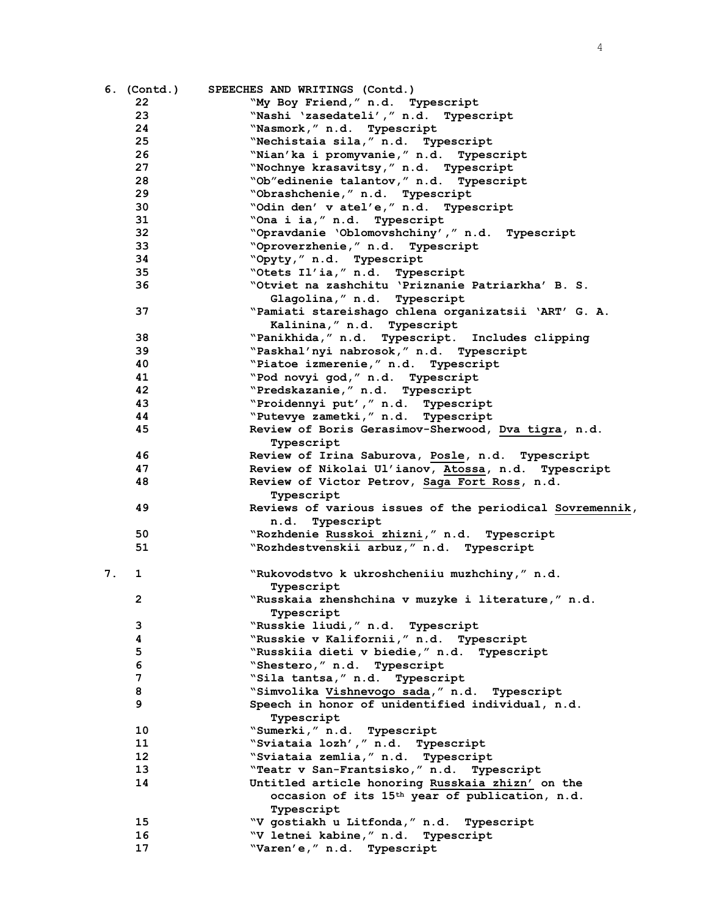|    | 6. (Contd.)     | SPEECHES AND WRITINGS (Contd.)                                                    |
|----|-----------------|-----------------------------------------------------------------------------------|
|    | 22              | "My Boy Friend," n.d. Typescript                                                  |
|    | 23              | "Nashi 'zasedateli'," n.d. Typescript                                             |
|    | 24              | "Nasmork," n.d. Typescript                                                        |
|    | 25              | "Nechistaia sila," n.d. Typescript                                                |
|    | 26              | "Nian'ka i promyvanie," n.d. Typescript                                           |
|    | 27              | "Nochnye krasavitsy," n.d. Typescript                                             |
|    | 28              | "Ob"edinenie talantov," n.d. Typescript                                           |
|    | 29              | "Obrashchenie," n.d. Typescript                                                   |
|    | 30              | "Odin den' v atel'e," n.d. Typescript                                             |
|    | 31              | "Ona i ia, " n.d. Typescript                                                      |
|    | 32              | "Opravdanie 'Oblomovshchiny'," n.d. Typescript                                    |
|    | 33              | "Oproverzhenie," n.d. Typescript                                                  |
|    | 34              | "Opyty," n.d. Typescript                                                          |
|    | 35              | "Otets Il'ia," n.d. Typescript                                                    |
|    | 36              | "Otviet na zashchitu 'Priznanie Patriarkha' B. S.<br>Glagolina, " n.d. Typescript |
|    | 37              | "Pamiati stareishago chlena organizatsii 'ART' G. A.                              |
|    |                 | Kalinina," n.d. Typescript                                                        |
|    | 38              | "Panikhida," n.d. Typescript. Includes clipping                                   |
|    | 39              | "Paskhal'nyi nabrosok," n.d. Typescript                                           |
|    | 40              | "Piatoe izmerenie," n.d. Typescript                                               |
|    | 41              | "Pod novyi god," n.d. Typescript                                                  |
|    | 42              | "Predskazanie," n.d. Typescript                                                   |
|    | 43              | "Proidennyi put'," n.d. Typescript                                                |
|    | 44              | "Putevye zametki, " n.d. Typescript                                               |
|    | 45              |                                                                                   |
|    |                 | Review of Boris Gerasimov-Sherwood, Dva tigra, n.d.                               |
|    | 46              | Typescript                                                                        |
|    | 47              | Review of Irina Saburova, Posle, n.d. Typescript                                  |
|    |                 | Review of Nikolai Ul'ianov, Atossa, n.d. Typescript                               |
|    | 48              | Review of Victor Petrov, Saga Fort Ross, n.d.<br>Typescript                       |
|    | 49              | Reviews of various issues of the periodical Sovremennik,<br>Typescript<br>n.d.    |
|    | 50              | "Rozhdenie Russkoi zhizni, " n.d. Typescript                                      |
|    | 51              | "Rozhdestvenskii arbuz," n.d. Typescript                                          |
| 7. | 1               | "Rukovodstvo k ukroshcheniiu muzhchiny," n.d.<br>Typescript                       |
|    | $\mathbf{2}$    | "Russkaia zhenshchina v muzyke i literature," n.d.                                |
|    |                 | Typescript                                                                        |
|    | 3               | "Russkie liudi," n.d. Typescript                                                  |
|    | 4               | "Russkie v Kalifornii," n.d. Typescript                                           |
|    | 5               | "Russkiia dieti v biedie," n.d. Typescript                                        |
|    | 6               | "Shestero," n.d. Typescript                                                       |
|    | 7               | "Sila tantsa, " n.d. Typescript                                                   |
|    | 8               | "Simvolika Vishnevogo sada," n.d. Typescript                                      |
|    | 9               | Speech in honor of unidentified individual, n.d.                                  |
|    |                 | Typescript                                                                        |
|    | 10              | "Sumerki," n.d. Typescript                                                        |
|    | 11              | "Sviataia lozh', " n.d. Typescript                                                |
|    | 12 <sup>2</sup> | "Sviataia zemlia, " n.d. Typescript                                               |
|    | 13              | "Teatr v San-Frantsisko," n.d.<br>Typescript                                      |
|    | 14              | Untitled article honoring Russkaia zhizn' on the                                  |
|    |                 | occasion of its 15 <sup>th</sup> year of publication, n.d.                        |
|    |                 | Typescript                                                                        |
|    | 15              | "V gostiakh u Litfonda," n.d.<br>Typescript                                       |
|    | 16              | "V letnei kabine," n.d. Typescript                                                |
|    | 17              | "Varen'e," n.d. Typescript                                                        |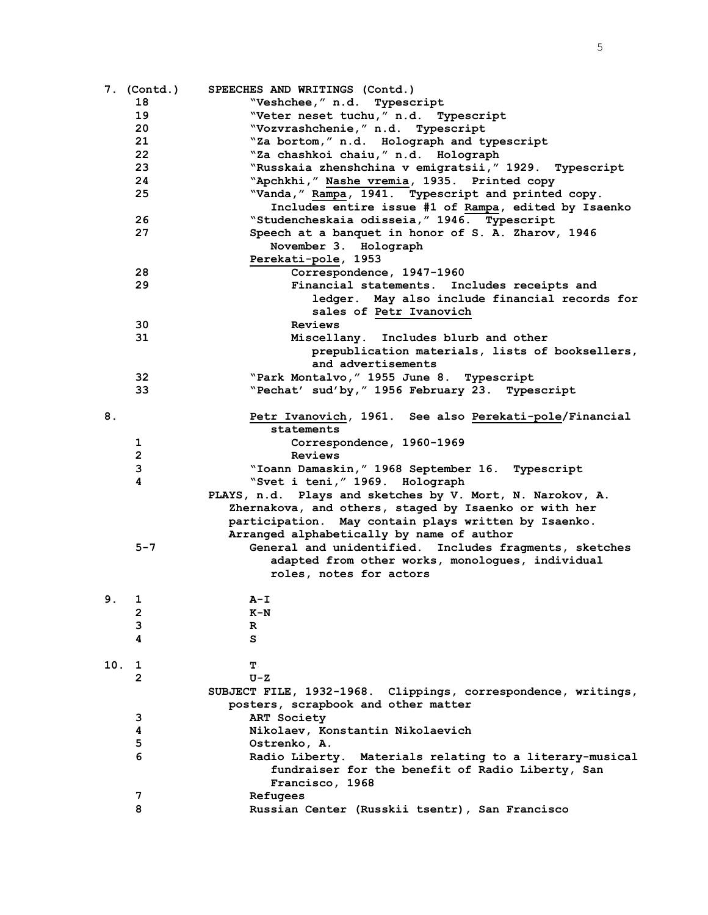|     | 7. (Contd.)  | SPEECHES AND WRITINGS (Contd.)                                |
|-----|--------------|---------------------------------------------------------------|
|     | 18           | "Veshchee," n.d. Typescript                                   |
|     | 19           | "Veter neset tuchu," n.d. Typescript                          |
|     | 20           | "Vozvrashchenie," n.d. Typescript                             |
|     | 21           | "Za bortom," n.d. Holograph and typescript                    |
|     | 22           | "Za chashkoi chaiu," n.d. Holograph                           |
|     | 23           | "Russkaia zhenshchina v emigratsii," 1929. Typescript         |
|     | 24           | "Apchkhi," Nashe vremia, 1935. Printed copy                   |
|     | 25           | "Vanda," Rampa, 1941. Typescript and printed copy.            |
|     |              | Includes entire issue #1 of Rampa, edited by Isaenko          |
|     | 26           | "Studencheskaia odisseia, "1946. Typescript                   |
|     | 27           | Speech at a banquet in honor of S. A. Zharov, 1946            |
|     |              | November 3. Holograph                                         |
|     |              | Perekati-pole, 1953                                           |
|     | 28           | Correspondence, 1947-1960                                     |
|     | 29           | Financial statements. Includes receipts and                   |
|     |              | ledger. May also include financial records for                |
|     |              | sales of Petr Ivanovich                                       |
|     | 30           | Reviews                                                       |
|     | 31           | Miscellany. Includes blurb and other                          |
|     |              | prepublication materials, lists of booksellers,               |
|     |              | and advertisements                                            |
|     | 32           | "Park Montalvo, " 1955 June 8. Typescript                     |
|     | 33           | "Pechat' sud'by, " 1956 February 23. Typescript               |
|     |              |                                                               |
| 8.  |              | Petr Ivanovich, 1961. See also Perekati-pole/Financial        |
|     |              | statements                                                    |
|     | 1            | Correspondence, 1960-1969                                     |
|     | $\mathbf{2}$ | Reviews                                                       |
|     | 3            | "Ioann Damaskin, " 1968 September 16. Typescript              |
|     | 4            | "Svet i teni, " 1969. Holograph                               |
|     |              | PLAYS, n.d. Plays and sketches by V. Mort, N. Narokov, A.     |
|     |              | Zhernakova, and others, staged by Isaenko or with her         |
|     |              | participation. May contain plays written by Isaenko.          |
|     |              | Arranged alphabetically by name of author                     |
|     | $5 - 7$      | General and unidentified. Includes fragments, sketches        |
|     |              | adapted from other works, monologues, individual              |
|     |              | roles, notes for actors                                       |
|     |              |                                                               |
| 9.1 |              | $A - I$                                                       |
|     | 2            | $K-N$                                                         |
|     | 3            | R                                                             |
|     | 4            | s                                                             |
|     |              |                                                               |
| 10. | $\mathbf{1}$ | т                                                             |
|     | 2            | $U-Z$                                                         |
|     |              | SUBJECT FILE, 1932-1968. Clippings, correspondence, writings, |
|     |              | posters, scrapbook and other matter                           |
|     | 3            | ART Society                                                   |
|     | 4            | Nikolaev, Konstantin Nikolaevich                              |
|     | 5            | Ostrenko, A.                                                  |
|     | 6            | Radio Liberty. Materials relating to a literary-musical       |
|     |              | fundraiser for the benefit of Radio Liberty, San              |
|     |              | Francisco, 1968                                               |
|     | 7            | Refugees                                                      |
|     | 8            | Russian Center (Russkii tsentr), San Francisco                |